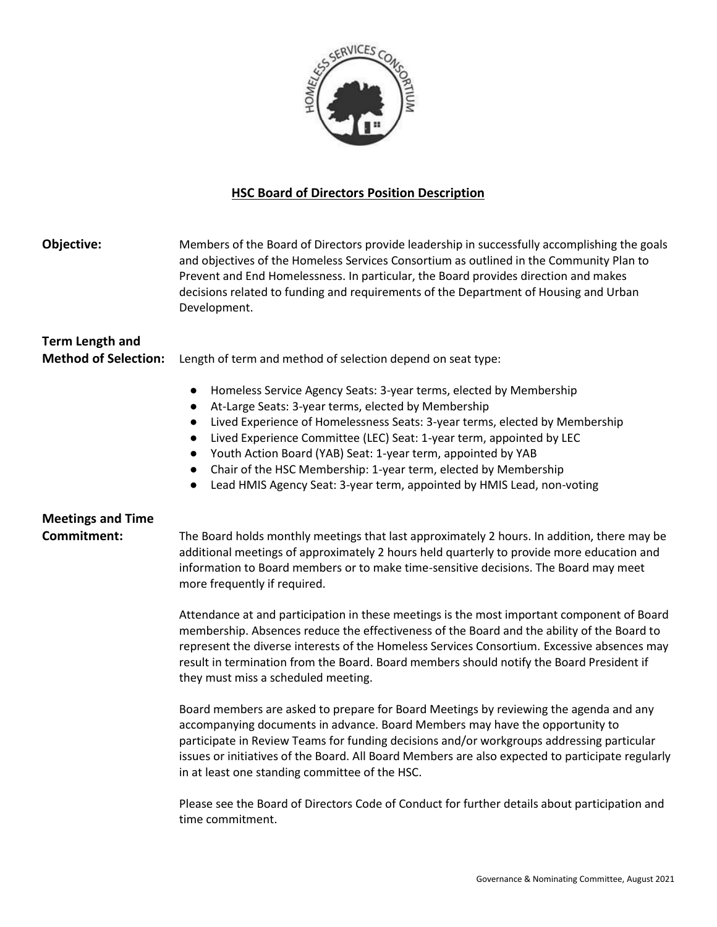

#### **HSC Board of Directors Position Description**

**Objective:** Members of the Board of Directors provide leadership in successfully accomplishing the goals and objectives of the Homeless Services Consortium as outlined in the Community Plan to Prevent and End Homelessness. In particular, the Board provides direction and makes decisions related to funding and requirements of the Department of Housing and Urban Development.

### **Term Length and**

**Method of Selection:** Length of term and method of selection depend on seat type:

- Homeless Service Agency Seats: 3-year terms, elected by Membership
- At-Large Seats: 3-year terms, elected by Membership
- Lived Experience of Homelessness Seats: 3-year terms, elected by Membership
- Lived Experience Committee (LEC) Seat: 1-year term, appointed by LEC
- Youth Action Board (YAB) Seat: 1-year term, appointed by YAB
- Chair of the HSC Membership: 1-year term, elected by Membership
- Lead HMIS Agency Seat: 3-year term, appointed by HMIS Lead, non-voting

## **Meetings and Time**

**Commitment:** The Board holds monthly meetings that last approximately 2 hours. In addition, there may be additional meetings of approximately 2 hours held quarterly to provide more education and information to Board members or to make time-sensitive decisions. The Board may meet more frequently if required.

> Attendance at and participation in these meetings is the most important component of Board membership. Absences reduce the effectiveness of the Board and the ability of the Board to represent the diverse interests of the Homeless Services Consortium. Excessive absences may result in termination from the Board. Board members should notify the Board President if they must miss a scheduled meeting.

> Board members are asked to prepare for Board Meetings by reviewing the agenda and any accompanying documents in advance. Board Members may have the opportunity to participate in Review Teams for funding decisions and/or workgroups addressing particular issues or initiatives of the Board. All Board Members are also expected to participate regularly in at least one standing committee of the HSC.

Please see the Board of Directors Code of Conduct for further details about participation and time commitment.